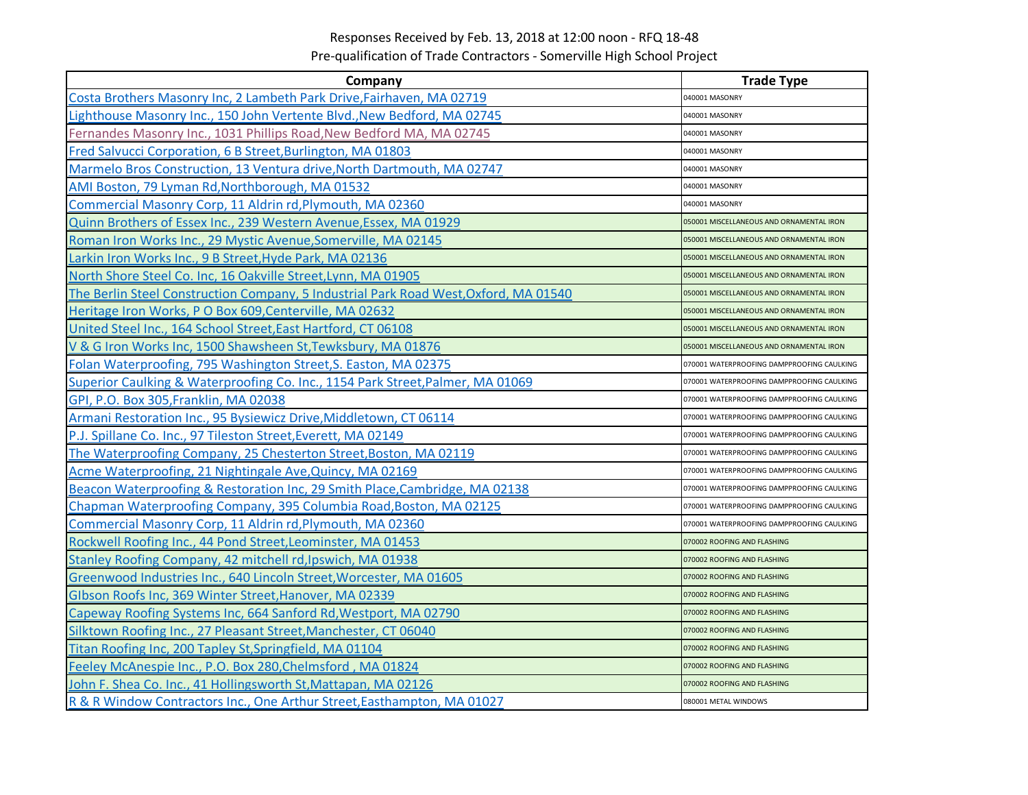## Responses Received by Feb. 13, 2018 at 12:00 noon ‐ RFQ 18‐48 Pre‐qualification of Trade Contractors ‐ Somerville High School Project

| Company                                                                              | <b>Trade Type</b>                          |
|--------------------------------------------------------------------------------------|--------------------------------------------|
| Costa Brothers Masonry Inc, 2 Lambeth Park Drive, Fairhaven, MA 02719                | 040001 MASONRY                             |
| Lighthouse Masonry Inc., 150 John Vertente Blvd., New Bedford, MA 02745              | 040001 MASONRY                             |
| Fernandes Masonry Inc., 1031 Phillips Road, New Bedford MA, MA 02745                 | 040001 MASONRY                             |
| Fred Salvucci Corporation, 6 B Street, Burlington, MA 01803                          | 040001 MASONRY                             |
| Marmelo Bros Construction, 13 Ventura drive, North Dartmouth, MA 02747               | 040001 MASONRY                             |
| AMI Boston, 79 Lyman Rd, Northborough, MA 01532                                      | 040001 MASONRY                             |
| Commercial Masonry Corp, 11 Aldrin rd, Plymouth, MA 02360                            | 040001 MASONRY                             |
| Quinn Brothers of Essex Inc., 239 Western Avenue, Essex, MA 01929                    | 050001 MISCELLANEOUS AND ORNAMENTAL IRON   |
| Roman Iron Works Inc., 29 Mystic Avenue, Somerville, MA 02145                        | 050001 MISCELLANEOUS AND ORNAMENTAL IRON   |
| Larkin Iron Works Inc., 9 B Street, Hyde Park, MA 02136                              | 050001 MISCELLANEOUS AND ORNAMENTAL IRON   |
| North Shore Steel Co. Inc, 16 Oakville Street, Lynn, MA 01905                        | 050001 MISCELLANEOUS AND ORNAMENTAL IRON   |
| The Berlin Steel Construction Company, 5 Industrial Park Road West, Oxford, MA 01540 | 050001 MISCELLANEOUS AND ORNAMENTAL IRON   |
| Heritage Iron Works, P O Box 609, Centerville, MA 02632                              | 050001 MISCELLANEOUS AND ORNAMENTAL IRON   |
| United Steel Inc., 164 School Street, East Hartford, CT 06108                        | 050001 MISCELLANEOUS AND ORNAMENTAL IRON   |
| V & G Iron Works Inc, 1500 Shawsheen St, Tewksbury, MA 01876                         | 050001 MISCELLANEOUS AND ORNAMENTAL IRON   |
| Folan Waterproofing, 795 Washington Street, S. Easton, MA 02375                      | 070001 WATERPROOFING DAMPPROOFING CAULKING |
| Superior Caulking & Waterproofing Co. Inc., 1154 Park Street, Palmer, MA 01069       | 070001 WATERPROOFING DAMPPROOFING CAULKING |
| GPI, P.O. Box 305, Franklin, MA 02038                                                | 070001 WATERPROOFING DAMPPROOFING CAULKING |
| Armani Restoration Inc., 95 Bysiewicz Drive, Middletown, CT 06114                    | 070001 WATERPROOFING DAMPPROOFING CAULKING |
| P.J. Spillane Co. Inc., 97 Tileston Street, Everett, MA 02149                        | 070001 WATERPROOFING DAMPPROOFING CAULKING |
| The Waterproofing Company, 25 Chesterton Street, Boston, MA 02119                    | 070001 WATERPROOFING DAMPPROOFING CAULKING |
| Acme Waterproofing, 21 Nightingale Ave, Quincy, MA 02169                             | 070001 WATERPROOFING DAMPPROOFING CAULKING |
| Beacon Waterproofing & Restoration Inc, 29 Smith Place, Cambridge, MA 02138          | 070001 WATERPROOFING DAMPPROOFING CAULKING |
| Chapman Waterproofing Company, 395 Columbia Road, Boston, MA 02125                   | 070001 WATERPROOFING DAMPPROOFING CAULKING |
| Commercial Masonry Corp, 11 Aldrin rd, Plymouth, MA 02360                            | 070001 WATERPROOFING DAMPPROOFING CAULKING |
| Rockwell Roofing Inc., 44 Pond Street, Leominster, MA 01453                          | 070002 ROOFING AND FLASHING                |
| Stanley Roofing Company, 42 mitchell rd, Ipswich, MA 01938                           | 070002 ROOFING AND FLASHING                |
| Greenwood Industries Inc., 640 Lincoln Street, Worcester, MA 01605                   | 070002 ROOFING AND FLASHING                |
| Glbson Roofs Inc, 369 Winter Street, Hanover, MA 02339                               | 070002 ROOFING AND FLASHING                |
| Capeway Roofing Systems Inc, 664 Sanford Rd, Westport, MA 02790                      | 070002 ROOFING AND FLASHING                |
| Silktown Roofing Inc., 27 Pleasant Street, Manchester, CT 06040                      | 070002 ROOFING AND FLASHING                |
| Titan Roofing Inc, 200 Tapley St, Springfield, MA 01104                              | 070002 ROOFING AND FLASHING                |
| Feeley McAnespie Inc., P.O. Box 280, Chelmsford, MA 01824                            | 070002 ROOFING AND FLASHING                |
| John F. Shea Co. Inc., 41 Hollingsworth St, Mattapan, MA 02126                       | 070002 ROOFING AND FLASHING                |
| R & R Window Contractors Inc., One Arthur Street, Easthampton, MA 01027              | 080001 METAL WINDOWS                       |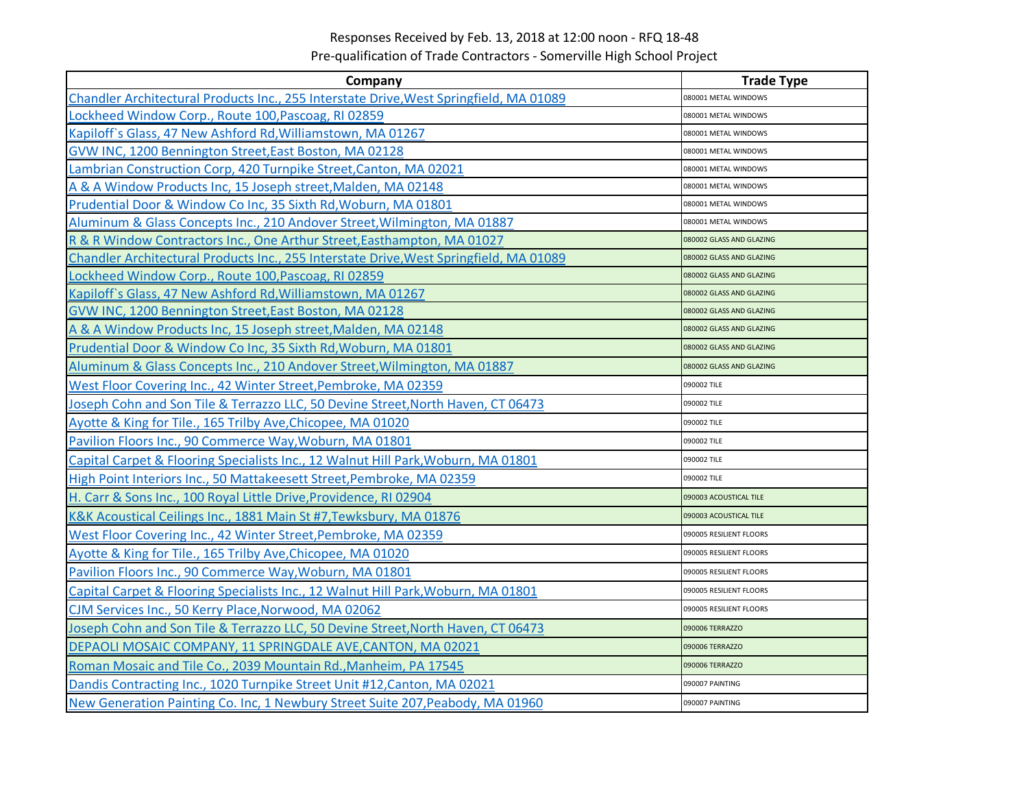## Responses Received by Feb. 13, 2018 at 12:00 noon ‐ RFQ 18‐48

Pre‐qualification of Trade Contractors ‐ Somerville High School Project

| Company                                                                                | <b>Trade Type</b>        |
|----------------------------------------------------------------------------------------|--------------------------|
| Chandler Architectural Products Inc., 255 Interstate Drive, West Springfield, MA 01089 | 080001 METAL WINDOWS     |
| Lockheed Window Corp., Route 100, Pascoag, RI 02859                                    | 080001 METAL WINDOWS     |
| Kapiloff's Glass, 47 New Ashford Rd, Williamstown, MA 01267                            | 080001 METAL WINDOWS     |
| GVW INC, 1200 Bennington Street, East Boston, MA 02128                                 | 080001 METAL WINDOWS     |
| Lambrian Construction Corp, 420 Turnpike Street, Canton, MA 02021                      | 080001 METAL WINDOWS     |
| A & A Window Products Inc, 15 Joseph street, Malden, MA 02148                          | 080001 METAL WINDOWS     |
| Prudential Door & Window Co Inc, 35 Sixth Rd, Woburn, MA 01801                         | 080001 METAL WINDOWS     |
| Aluminum & Glass Concepts Inc., 210 Andover Street, Wilmington, MA 01887               | 080001 METAL WINDOWS     |
| R & R Window Contractors Inc., One Arthur Street, Easthampton, MA 01027                | 080002 GLASS AND GLAZING |
| Chandler Architectural Products Inc., 255 Interstate Drive, West Springfield, MA 01089 | 080002 GLASS AND GLAZING |
| Lockheed Window Corp., Route 100, Pascoag, RI 02859                                    | 080002 GLASS AND GLAZING |
| Kapiloff's Glass, 47 New Ashford Rd, Williamstown, MA 01267                            | 080002 GLASS AND GLAZING |
| GVW INC, 1200 Bennington Street, East Boston, MA 02128                                 | 080002 GLASS AND GLAZING |
| A & A Window Products Inc, 15 Joseph street, Malden, MA 02148                          | 080002 GLASS AND GLAZING |
| Prudential Door & Window Co Inc, 35 Sixth Rd, Woburn, MA 01801                         | 080002 GLASS AND GLAZING |
| Aluminum & Glass Concepts Inc., 210 Andover Street, Wilmington, MA 01887               | 080002 GLASS AND GLAZING |
| West Floor Covering Inc., 42 Winter Street, Pembroke, MA 02359                         | 090002 TILE              |
| Joseph Cohn and Son Tile & Terrazzo LLC, 50 Devine Street, North Haven, CT 06473       | 090002 TILE              |
| Ayotte & King for Tile., 165 Trilby Ave, Chicopee, MA 01020                            | 090002 TILE              |
| Pavilion Floors Inc., 90 Commerce Way, Woburn, MA 01801                                | 090002 TILE              |
| Capital Carpet & Flooring Specialists Inc., 12 Walnut Hill Park, Woburn, MA 01801      | 090002 TILE              |
| High Point Interiors Inc., 50 Mattakeesett Street, Pembroke, MA 02359                  | 090002 TILE              |
| H. Carr & Sons Inc., 100 Royal Little Drive, Providence, RI 02904                      | 090003 ACOUSTICAL TILE   |
| K&K Acoustical Ceilings Inc., 1881 Main St #7, Tewksbury, MA 01876                     | 090003 ACOUSTICAL TILE   |
| West Floor Covering Inc., 42 Winter Street, Pembroke, MA 02359                         | 090005 RESILIENT FLOORS  |
| Ayotte & King for Tile., 165 Trilby Ave, Chicopee, MA 01020                            | 090005 RESILIENT FLOORS  |
| Pavilion Floors Inc., 90 Commerce Way, Woburn, MA 01801                                | 090005 RESILIENT FLOORS  |
| Capital Carpet & Flooring Specialists Inc., 12 Walnut Hill Park, Woburn, MA 01801      | 090005 RESILIENT FLOORS  |
| CJM Services Inc., 50 Kerry Place, Norwood, MA 02062                                   | 090005 RESILIENT FLOORS  |
| Joseph Cohn and Son Tile & Terrazzo LLC, 50 Devine Street, North Haven, CT 06473       | 090006 TERRAZZO          |
| DEPAOLI MOSAIC COMPANY, 11 SPRINGDALE AVE, CANTON, MA 02021                            | 090006 TERRAZZO          |
| Roman Mosaic and Tile Co., 2039 Mountain Rd., Manheim, PA 17545                        | 090006 TERRAZZO          |
| Dandis Contracting Inc., 1020 Turnpike Street Unit #12, Canton, MA 02021               | 090007 PAINTING          |
| New Generation Painting Co. Inc, 1 Newbury Street Suite 207, Peabody, MA 01960         | 090007 PAINTING          |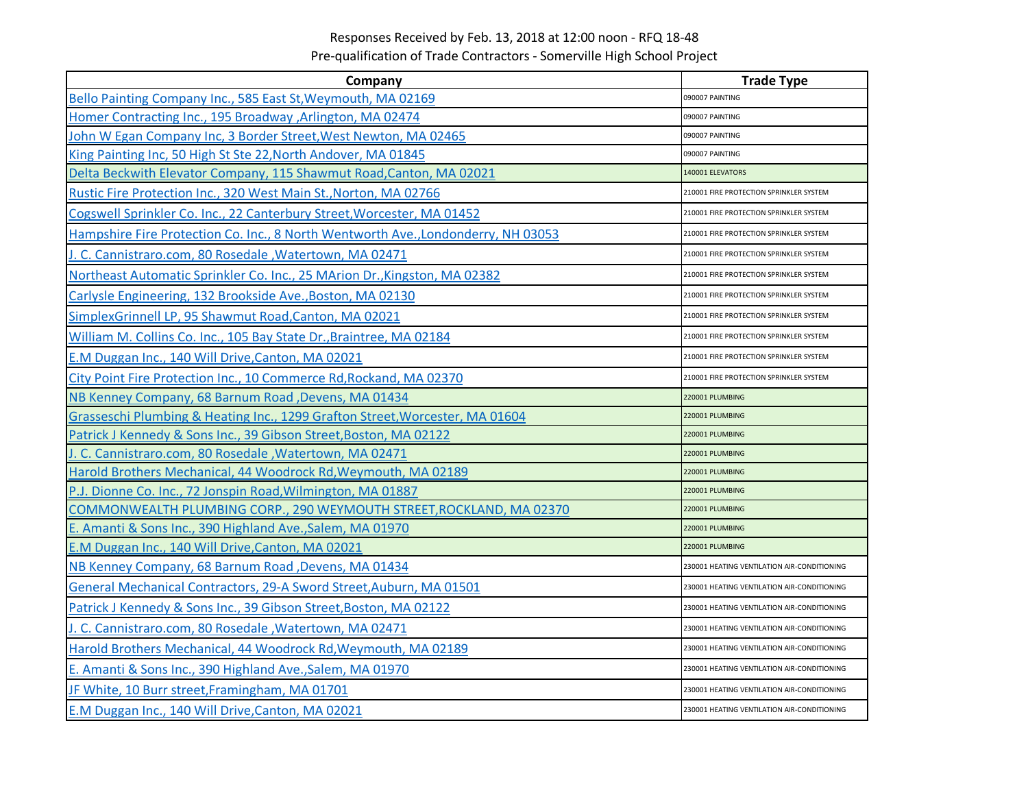## Responses Received by Feb. 13, 2018 at 12:00 noon ‐ RFQ 18‐48 Pre‐qualification of Trade Contractors ‐ Somerville High School Project

| Company                                                                           | <b>Trade Type</b>                           |
|-----------------------------------------------------------------------------------|---------------------------------------------|
| Bello Painting Company Inc., 585 East St, Weymouth, MA 02169                      | 090007 PAINTING                             |
| Homer Contracting Inc., 195 Broadway , Arlington, MA 02474                        | 090007 PAINTING                             |
| John W Egan Company Inc, 3 Border Street, West Newton, MA 02465                   | 090007 PAINTING                             |
| King Painting Inc, 50 High St Ste 22, North Andover, MA 01845                     | 090007 PAINTING                             |
| Delta Beckwith Elevator Company, 115 Shawmut Road, Canton, MA 02021               | 140001 ELEVATORS                            |
| Rustic Fire Protection Inc., 320 West Main St., Norton, MA 02766                  | 210001 FIRE PROTECTION SPRINKLER SYSTEM     |
| Cogswell Sprinkler Co. Inc., 22 Canterbury Street, Worcester, MA 01452            | 210001 FIRE PROTECTION SPRINKLER SYSTEM     |
| Hampshire Fire Protection Co. Inc., 8 North Wentworth Ave., Londonderry, NH 03053 | 210001 FIRE PROTECTION SPRINKLER SYSTEM     |
| J. C. Cannistraro.com, 80 Rosedale, Watertown, MA 02471                           | 210001 FIRE PROTECTION SPRINKLER SYSTEM     |
| Northeast Automatic Sprinkler Co. Inc., 25 MArion Dr., Kingston, MA 02382         | 210001 FIRE PROTECTION SPRINKLER SYSTEM     |
| Carlysle Engineering, 132 Brookside Ave., Boston, MA 02130                        | 210001 FIRE PROTECTION SPRINKLER SYSTEM     |
| SimplexGrinnell LP, 95 Shawmut Road, Canton, MA 02021                             | 210001 FIRE PROTECTION SPRINKLER SYSTEM     |
| William M. Collins Co. Inc., 105 Bay State Dr., Braintree, MA 02184               | 210001 FIRE PROTECTION SPRINKLER SYSTEM     |
| E.M Duggan Inc., 140 Will Drive, Canton, MA 02021                                 | 210001 FIRE PROTECTION SPRINKLER SYSTEM     |
| City Point Fire Protection Inc., 10 Commerce Rd, Rockand, MA 02370                | 210001 FIRE PROTECTION SPRINKLER SYSTEM     |
| NB Kenney Company, 68 Barnum Road, Devens, MA 01434                               | 220001 PLUMBING                             |
| Grasseschi Plumbing & Heating Inc., 1299 Grafton Street, Worcester, MA 01604      | 220001 PLUMBING                             |
| Patrick J Kennedy & Sons Inc., 39 Gibson Street, Boston, MA 02122                 | 220001 PLUMBING                             |
| J. C. Cannistraro.com, 80 Rosedale, Watertown, MA 02471                           | 220001 PLUMBING                             |
| Harold Brothers Mechanical, 44 Woodrock Rd, Weymouth, MA 02189                    | 220001 PLUMBING                             |
| P.J. Dionne Co. Inc., 72 Jonspin Road, Wilmington, MA 01887                       | 220001 PLUMBING                             |
| COMMONWEALTH PLUMBING CORP., 290 WEYMOUTH STREET, ROCKLAND, MA 02370              | 220001 PLUMBING                             |
| E. Amanti & Sons Inc., 390 Highland Ave., Salem, MA 01970                         | 220001 PLUMBING                             |
| E.M Duggan Inc., 140 Will Drive, Canton, MA 02021                                 | 220001 PLUMBING                             |
| NB Kenney Company, 68 Barnum Road, Devens, MA 01434                               | 230001 HEATING VENTILATION AIR-CONDITIONING |
| General Mechanical Contractors, 29-A Sword Street, Auburn, MA 01501               | 230001 HEATING VENTILATION AIR-CONDITIONING |
| Patrick J Kennedy & Sons Inc., 39 Gibson Street, Boston, MA 02122                 | 230001 HEATING VENTILATION AIR-CONDITIONING |
| J. C. Cannistraro.com, 80 Rosedale, Watertown, MA 02471                           | 230001 HEATING VENTILATION AIR-CONDITIONING |
| Harold Brothers Mechanical, 44 Woodrock Rd, Weymouth, MA 02189                    | 230001 HEATING VENTILATION AIR-CONDITIONING |
| E. Amanti & Sons Inc., 390 Highland Ave., Salem, MA 01970                         | 230001 HEATING VENTILATION AIR-CONDITIONING |
| JF White, 10 Burr street, Framingham, MA 01701                                    | 230001 HEATING VENTILATION AIR-CONDITIONING |
| E.M Duggan Inc., 140 Will Drive, Canton, MA 02021                                 | 230001 HEATING VENTILATION AIR-CONDITIONING |